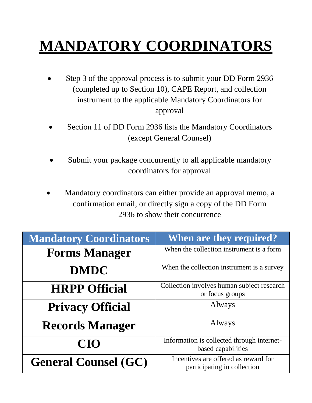## **MANDATORY COORDINATORS**

- Step 3 of the approval process is to submit your DD Form 2936 (completed up to Section 10), CAPE Report, and collection instrument to the applicable Mandatory Coordinators for approval
- Section 11 of DD Form 2936 lists the Mandatory Coordinators (except General Counsel)
- Submit your package concurrently to all applicable mandatory coordinators for approval
- Mandatory coordinators can either provide an approval memo, a confirmation email, or directly sign a copy of the DD Form 2936 to show their concurrence

| <b>Mandatory Coordinators</b> | <b>When are they required?</b>                                      |
|-------------------------------|---------------------------------------------------------------------|
| <b>Forms Manager</b>          | When the collection instrument is a form                            |
| <b>DMDC</b>                   | When the collection instrument is a survey                          |
| <b>HRPP Official</b>          | Collection involves human subject research<br>or focus groups       |
| <b>Privacy Official</b>       | Always                                                              |
| <b>Records Manager</b>        | Always                                                              |
| <b>CIO</b>                    | Information is collected through internet-<br>based capabilities    |
| <b>General Counsel (GC)</b>   | Incentives are offered as reward for<br>participating in collection |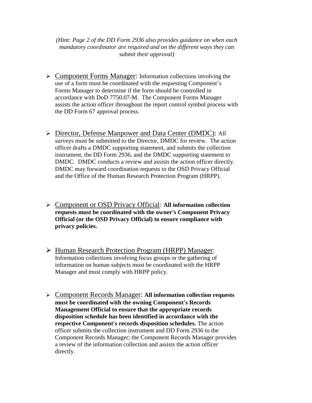*(Hint: Page 2 of the DD Form 2936 also provides guidance on when each mandatory coordinator are required and on the different ways they can submit their approval)*

- Component Forms Manager: Information collections involving the use of a form must be coordinated with the requesting Component's Forms Manager to determine if the form should be controlled in accordance with DoD 7750.07-M. The Component Forms Manager assists the action officer throughout the report control symbol process with the DD Form 67 approval process.
- Director, Defense Manpower and Data Center (DMDC): All surveys must be submitted to the Director, DMDC for review. The action officer drafts a DMDC supporting statement, and submits the collection instrument, the DD Form 2936, and the DMDC supporting statement to DMDC. DMDC conducts a review and assists the action officer directly. DMDC may forward coordination requests to the OSD Privacy Official and the Office of the Human Research Protection Program (HRPP).
- Component or OSD Privacy Official: **All information collection requests must be coordinated with the owner's Component Privacy Official (or the OSD Privacy Official) to ensure compliance with privacy policies.**
- Human Research Protection Program (HRPP) Manager: Information collections involving focus groups or the gathering of information on human subjects must be coordinated with the HRPP Manager and must comply with HRPP policy.
- Component Records Manager: **All information collection requests must be coordinated with the owning Component's Records Management Official to ensure that the appropriate records disposition schedule has been identified in accordance with the respective Component's records disposition schedules.** The action officer submits the collection instrument and DD Form 2936 to the Component Records Manager; the Component Records Manager provides a review of the information collection and assists the action officer directly.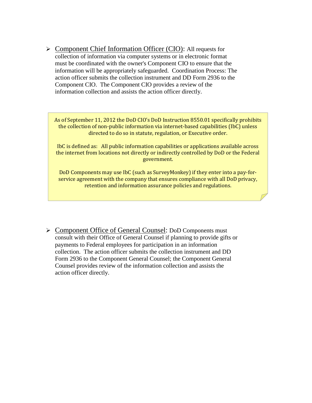▶ Component Chief Information Officer (CIO): All requests for collection of information via computer systems or in electronic format must be coordinated with the owner's Component CIO to ensure that the information will be appropriately safeguarded. Coordination Process: The action officer submits the collection instrument and DD Form 2936 to the Component CIO. The Component CIO provides a review of the information collection and assists the action officer directly.

As of September 11, 2012 the DoD CIO's DoD Instruction 8550.01 specifically prohibits the collection of non-public information via internet-based capabilities (IbC) unless directed to do so in statute, regulation, or Executive order.

IbC is defined as: All public information capabilities or applications available across the internet from locations not directly or indirectly controlled by DoD or the Federal government.

DoD Components may use IbC (such as SurveyMonkey) if they enter into a pay-forservice agreement with the company that ensures compliance with all DoD privacy, retention and information assurance policies and regulations.

 Component Office of General Counsel: DoD Components must consult with their Office of General Counsel if planning to provide gifts or payments to Federal employees for participation in an information collection. The action officer submits the collection instrument and DD Form 2936 to the Component General Counsel; the Component General Counsel provides review of the information collection and assists the action officer directly.